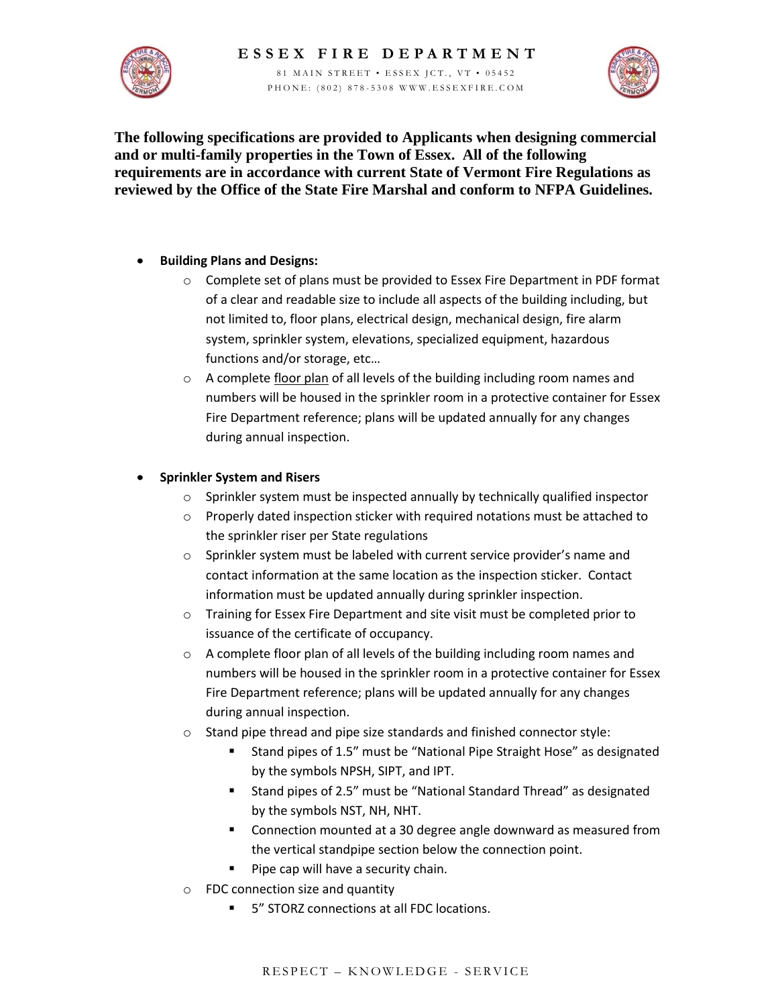



**The following specifications are provided to Applicants when designing commercial and or multi-family properties in the Town of Essex. All of the following requirements are in accordance with current State of Vermont Fire Regulations as reviewed by the Office of the State Fire Marshal and conform to NFPA Guidelines.** 

#### **Building Plans and Designs:**  $\bullet$

- $\circ$  Complete set of plans must be provided to Essex Fire Department in PDF format of a clear and readable size to include all aspects of the building including, but not limited to, floor plans, electrical design, mechanical design, fire alarm system, sprinkler system, elevations, specialized equipment, hazardous functions and/or storage, etc…
- $\circ$  A complete floor plan of all levels of the building including room names and numbers will be housed in the sprinkler room in a protective container for Essex Fire Department reference; plans will be updated annually for any changes during annual inspection.

### **Sprinkler System and Risers**  $\bullet$

- o Sprinkler system must be inspected annually by technically qualified inspector
- o Properly dated inspection sticker with required notations must be attached to the sprinkler riser per State regulations
- $\circ$  Sprinkler system must be labeled with current service provider's name and contact information at the same location as the inspection sticker. Contact information must be updated annually during sprinkler inspection.
- o Training for Essex Fire Department and site visit must be completed prior to issuance of the certificate of occupancy.
- $\circ$  A complete floor plan of all levels of the building including room names and numbers will be housed in the sprinkler room in a protective container for Essex Fire Department reference; plans will be updated annually for any changes during annual inspection.
- o Stand pipe thread and pipe size standards and finished connector style:
	- Stand pipes of 1.5" must be "National Pipe Straight Hose" as designated by the symbols NPSH, SIPT, and IPT.
	- Stand pipes of 2.5" must be "National Standard Thread" as designated by the symbols NST, NH, NHT.
	- **EXECON MOUNTED AT A 30 DEG** angle downward as measured from the vertical standpipe section below the connection point.
	- **Pipe cap will have a security chain.**
- o FDC connection size and quantity
	- 5" STORZ connections at all FDC locations.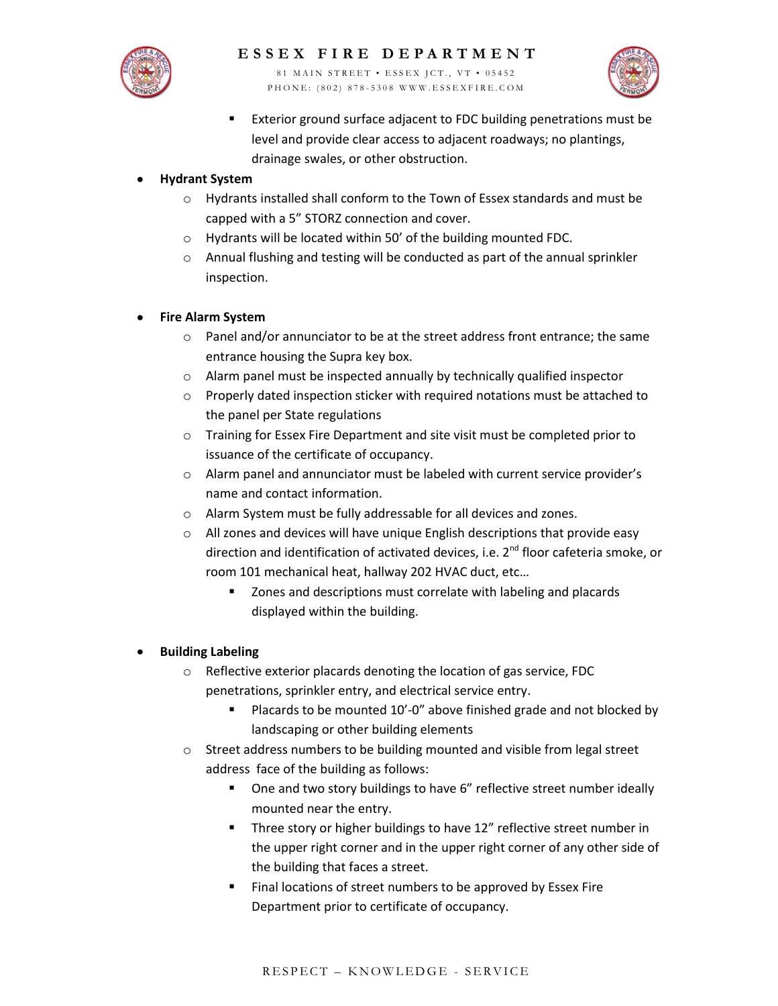

81 MAIN STREET • ESSEX JCT., VT • 05452 P H O N E : (802) 878-5308 W W W . ESSEX FIRE . COM



**Exterior ground surface adjacent to FDC building penetrations must be** level and provide clear access to adjacent roadways; no plantings, drainage swales, or other obstruction.

### **Hydrant System**

- o Hydrants installed shall conform to the Town of Essex standards and must be capped with a 5" STORZ connection and cover.
- o Hydrants will be located within 50' of the building mounted FDC.
- o Annual flushing and testing will be conducted as part of the annual sprinkler inspection.

### **Fire Alarm System**  $\bullet$

- o Panel and/or annunciator to be at the street address front entrance; the same entrance housing the Supra key box.
- o Alarm panel must be inspected annually by technically qualified inspector
- o Properly dated inspection sticker with required notations must be attached to the panel per State regulations
- o Training for Essex Fire Department and site visit must be completed prior to issuance of the certificate of occupancy.
- o Alarm panel and annunciator must be labeled with current service provider's name and contact information.
- o Alarm System must be fully addressable for all devices and zones.
- o All zones and devices will have unique English descriptions that provide easy direction and identification of activated devices, i.e. 2<sup>nd</sup> floor cafeteria smoke, or room 101 mechanical heat, hallway 202 HVAC duct, etc…
	- **EXTERGHTM** Zones and descriptions must correlate with labeling and placards displayed within the building.

# **Building Labeling**

- o Reflective exterior placards denoting the location of gas service, FDC penetrations, sprinkler entry, and electrical service entry.
	- Placards to be mounted 10'-0" above finished grade and not blocked by landscaping or other building elements
- o Street address numbers to be building mounted and visible from legal street address face of the building as follows:
	- One and two story buildings to have 6" reflective street number ideally mounted near the entry.
	- **Three story or higher buildings to have 12" reflective street number in** the upper right corner and in the upper right corner of any other side of the building that faces a street.
	- Final locations of street numbers to be approved by Essex Fire Department prior to certificate of occupancy.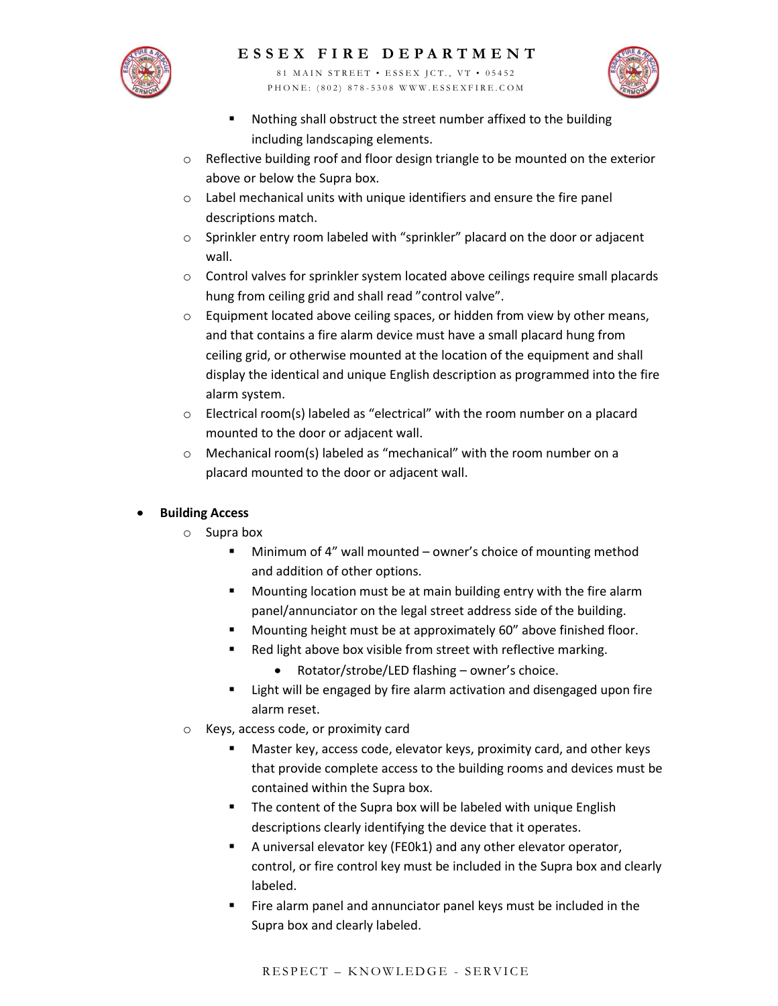# **E S S E X F I R E D E P A R T M E N T**

81 MAIN STREET • ESSEX JCT., VT • 05452 P H O N E : ( 8 0 2 ) 8 7 8 - 5 3 0 8 W W W . E S S E X F I R E . C O M



- Nothing shall obstruct the street number affixed to the building including landscaping elements.
- $\circ$  Reflective building roof and floor design triangle to be mounted on the exterior above or below the Supra box.
- o Label mechanical units with unique identifiers and ensure the fire panel descriptions match.
- o Sprinkler entry room labeled with "sprinkler" placard on the door or adjacent wall.
- o Control valves for sprinkler system located above ceilings require small placards hung from ceiling grid and shall read "control valve".
- o Equipment located above ceiling spaces, or hidden from view by other means, and that contains a fire alarm device must have a small placard hung from ceiling grid, or otherwise mounted at the location of the equipment and shall display the identical and unique English description as programmed into the fire alarm system.
- o Electrical room(s) labeled as "electrical" with the room number on a placard mounted to the door or adjacent wall.
- o Mechanical room(s) labeled as "mechanical" with the room number on a placard mounted to the door or adjacent wall.

### **Building Access**

- o Supra box
	- Minimum of 4" wall mounted owner's choice of mounting method and addition of other options.
	- **Mounting location must be at main building entry with the fire alarm** panel/annunciator on the legal street address side of the building.
	- Mounting height must be at approximately 60" above finished floor.
	- Red light above box visible from street with reflective marking.
		- Rotator/strobe/LED flashing owner's choice.
	- **EXTERGHT Light will be engaged by fire alarm activation and disengaged upon fire** alarm reset.
- o Keys, access code, or proximity card
	- Master key, access code, elevator keys, proximity card, and other keys that provide complete access to the building rooms and devices must be contained within the Supra box.
	- **The content of the Supra box will be labeled with unique English** descriptions clearly identifying the device that it operates.
	- A universal elevator key (FE0k1) and any other elevator operator, control, or fire control key must be included in the Supra box and clearly labeled.
	- Fire alarm panel and annunciator panel keys must be included in the Supra box and clearly labeled.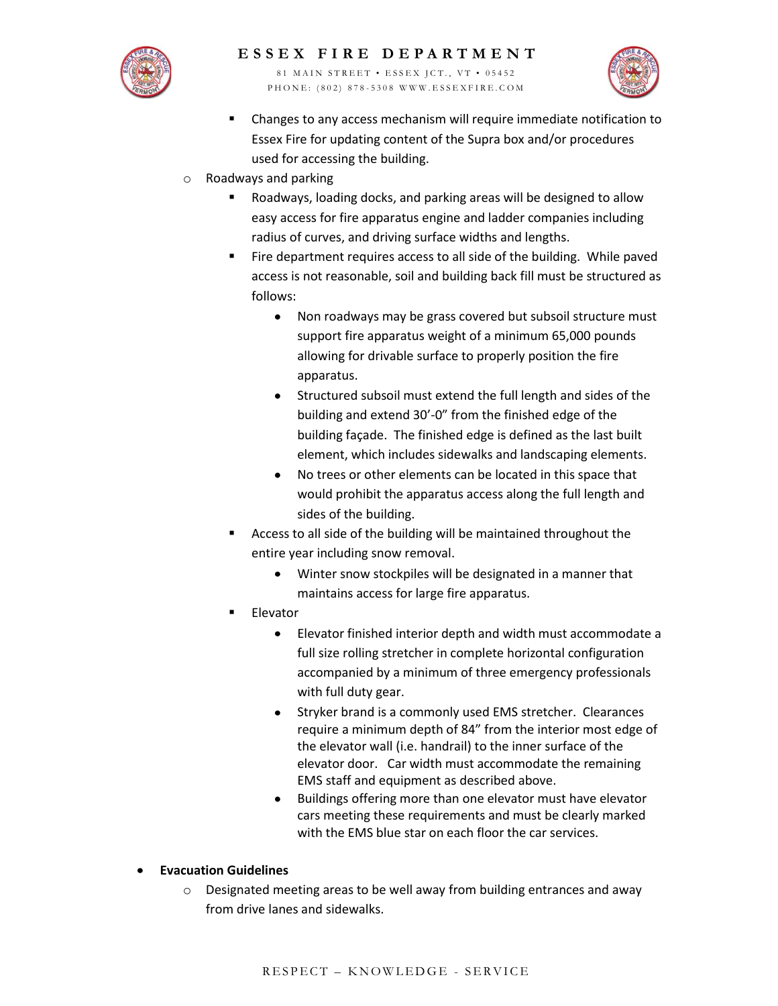

# **E S S E X F I R E D E P A R T M E N T**

81 MAIN STREET • ESSEX JCT., VT • 05452 P H O N E : ( 8 0 2 ) 8 7 8 - 5 3 0 8 W W W . E S S E X F I R E . C O M



- Changes to any access mechanism will require immediate notification to Essex Fire for updating content of the Supra box and/or procedures used for accessing the building.
- o Roadways and parking
	- Roadways, loading docks, and parking areas will be designed to allow easy access for fire apparatus engine and ladder companies including radius of curves, and driving surface widths and lengths.
	- Fire department requires access to all side of the building. While paved access is not reasonable, soil and building back fill must be structured as follows:
		- Non roadways may be grass covered but subsoil structure must  $\bullet$ support fire apparatus weight of a minimum 65,000 pounds allowing for drivable surface to properly position the fire apparatus.
		- Structured subsoil must extend the full length and sides of the building and extend 30'-0" from the finished edge of the building façade. The finished edge is defined as the last built element, which includes sidewalks and landscaping elements.
		- No trees or other elements can be located in this space that  $\bullet$ would prohibit the apparatus access along the full length and sides of the building.
	- Access to all side of the building will be maintained throughout the entire year including snow removal.
		- Winter snow stockpiles will be designated in a manner that  $\bullet$ maintains access for large fire apparatus.
	- Elevator
		- $\bullet$ Elevator finished interior depth and width must accommodate a full size rolling stretcher in complete horizontal configuration accompanied by a minimum of three emergency professionals with full duty gear.
		- Stryker brand is a commonly used EMS stretcher. Clearances require a minimum depth of 84" from the interior most edge of the elevator wall (i.e. handrail) to the inner surface of the elevator door. Car width must accommodate the remaining EMS staff and equipment as described above.
		- Buildings offering more than one elevator must have elevator  $\bullet$ cars meeting these requirements and must be clearly marked with the EMS blue star on each floor the car services.
- **Evacuation Guidelines**
	- $\circ$  Designated meeting areas to be well away from building entrances and away from drive lanes and sidewalks.